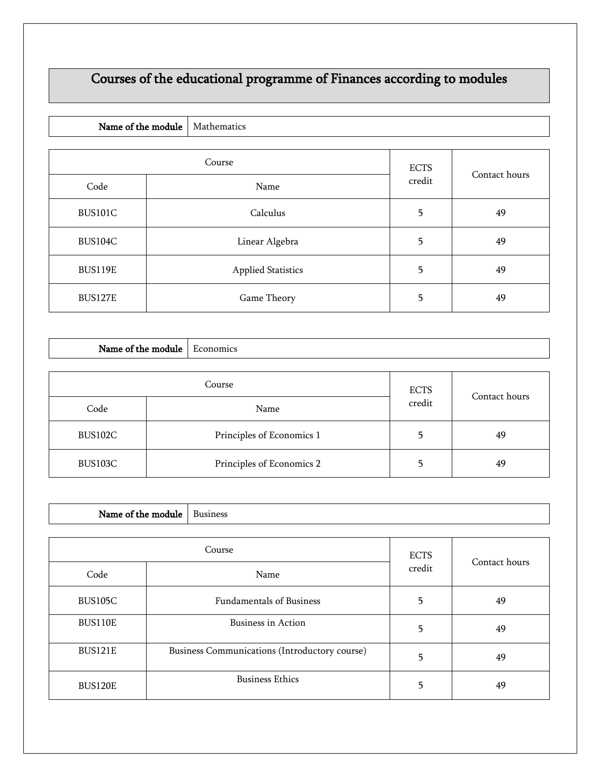## Courses of the educational programme of Finances according to modules

| Name of the module |        | Mathematics               |             |               |
|--------------------|--------|---------------------------|-------------|---------------|
|                    |        |                           |             |               |
|                    | Course |                           | <b>ECTS</b> |               |
| Code               |        | Name                      | credit      | Contact hours |
| <b>BUS101C</b>     |        | Calculus                  | 5           | 49            |
| <b>BUS104C</b>     |        | Linear Algebra            | 5           | 49            |
| <b>BUS119E</b>     |        | <b>Applied Statistics</b> | 5           | 49            |
| <b>BUS127E</b>     |        | Game Theory               | 5           | 49            |

| Name of the module | Economics                 |             |               |
|--------------------|---------------------------|-------------|---------------|
|                    | Course                    | <b>ECTS</b> |               |
| Code               | Name                      | credit      | Contact hours |
| BUS102C            | Principles of Economics 1 | 5           | 49            |
| BUS103C            | Principles of Economics 2 | 5           | 49            |

| Name of the module |  | <b>Business</b>                               |   |               |
|--------------------|--|-----------------------------------------------|---|---------------|
| Course             |  | <b>ECTS</b>                                   |   |               |
| Code               |  | Name                                          |   | Contact hours |
| BUS105C            |  | <b>Fundamentals of Business</b>               | 5 | 49            |
| <b>BUS110E</b>     |  | <b>Business in Action</b>                     |   | 49            |
| <b>BUS121E</b>     |  | Business Communications (Introductory course) | 5 | 49            |
| <b>BUS120E</b>     |  | <b>Business Ethics</b>                        | 5 | 49            |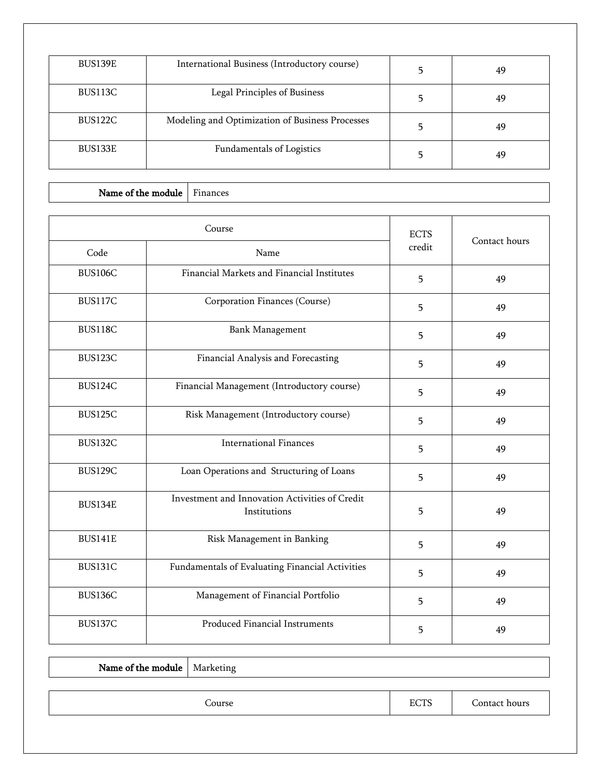| BUS139E | International Business (Introductory course)    | 49 |
|---------|-------------------------------------------------|----|
| BUS113C | Legal Principles of Business                    | 49 |
| BUS122C | Modeling and Optimization of Business Processes | 49 |
| BUS133E | Fundamentals of Logistics                       | 49 |

| Name of the module Finances |  |
|-----------------------------|--|
|-----------------------------|--|

|                | Course                                                         |        | Contact hours |
|----------------|----------------------------------------------------------------|--------|---------------|
| Code           | Name                                                           | credit |               |
| <b>BUS106C</b> | Financial Markets and Financial Institutes                     | 5      | 49            |
| <b>BUS117C</b> | Corporation Finances (Course)                                  | 5      | 49            |
| <b>BUS118C</b> | <b>Bank Management</b>                                         | 5      | 49            |
| BUS123C        | Financial Analysis and Forecasting                             | 5      | 49            |
| <b>BUS124C</b> | Financial Management (Introductory course)                     | 5      | 49            |
| <b>BUS125C</b> | Risk Management (Introductory course)                          | 5      | 49            |
| BUS132C        | <b>International Finances</b>                                  | 5      | 49            |
| <b>BUS129C</b> | Loan Operations and Structuring of Loans                       | 5      | 49            |
| BUS134E        | Investment and Innovation Activities of Credit<br>Institutions | 5      | 49            |
| <b>BUS141E</b> | Risk Management in Banking                                     | 5      | 49            |
| BUS131C        | Fundamentals of Evaluating Financial Activities                | 5      | 49            |
| BUS136C        | Management of Financial Portfolio                              | 5      | 49            |
| <b>BUS137C</b> | Produced Financial Instruments                                 | 5      | 49            |

| <b>Name of the module</b>   Marketing |        |      |               |
|---------------------------------------|--------|------|---------------|
|                                       |        |      |               |
|                                       | Course | ECTS | Contact hours |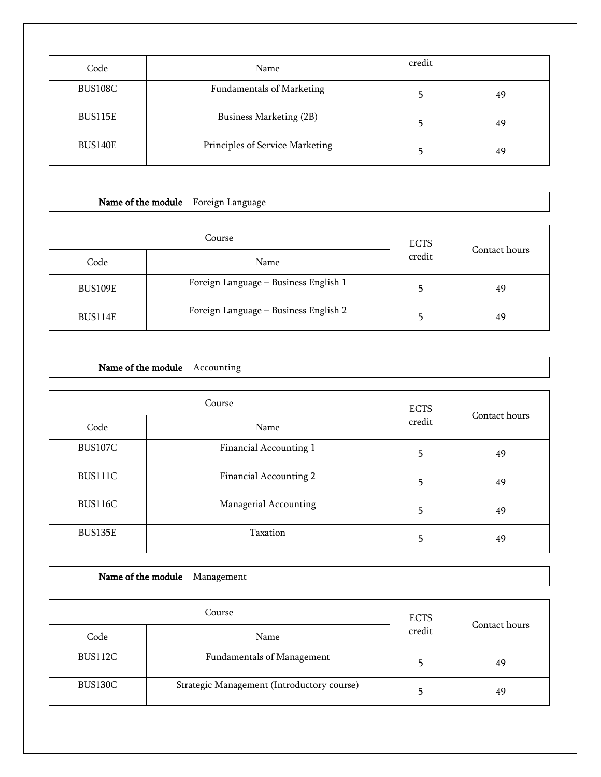| Code    | Name                             | credit |    |
|---------|----------------------------------|--------|----|
| BUS108C | <b>Fundamentals of Marketing</b> |        | 49 |
| BUS115E | Business Marketing (2B)          |        | 49 |
| BUS140E | Principles of Service Marketing  |        | 49 |

| Name of the module |                                       |        |               |
|--------------------|---------------------------------------|--------|---------------|
|                    | <b>ECTS</b>                           |        |               |
| Code               | Name                                  | credit | Contact hours |
| <b>BUS109E</b>     | Foreign Language - Business English 1 | 5      | 49            |
| BUS114E            | Foreign Language - Business English 2 | 5      | 49            |

| Name of the module | Accounting             |                       |               |
|--------------------|------------------------|-----------------------|---------------|
|                    |                        |                       |               |
|                    | Course                 | <b>ECTS</b><br>credit | Contact hours |
| Code               | Name                   |                       |               |
| BUS107C            | Financial Accounting 1 | 5                     | 49            |
| BUS111C            | Financial Accounting 2 | 5                     | 49            |
| BUS116C            | Managerial Accounting  | 5                     | 49            |
| BUS135E            | Taxation               | 5                     | 49            |

| Course  |                                            | <b>ECTS</b> |               |
|---------|--------------------------------------------|-------------|---------------|
| Code    | Name                                       | credit      | Contact hours |
| BUS112C | Fundamentals of Management                 |             | 49            |
| BUS130C | Strategic Management (Introductory course) |             | 49            |

Name of the module  $\vert$  Management